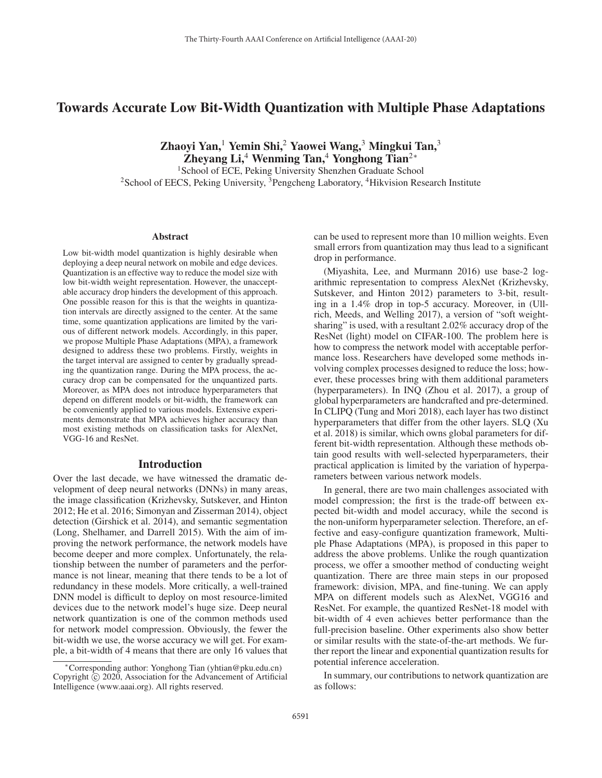# Towards Accurate Low Bit-Width Quantization with Multiple Phase Adaptations

Zhaoyi Yan,<sup>1</sup> Yemin Shi,<sup>2</sup> Yaowei Wang,<sup>3</sup> Mingkui Tan,<sup>3</sup> Zheyang Li,<sup>4</sup> Wenming Tan,<sup>4</sup> Yonghong Tian<sup>2∗</sup>

<sup>1</sup>School of ECE, Peking University Shenzhen Graduate School <sup>2</sup>School of EECS, Peking University, <sup>3</sup>Pengcheng Laboratory, <sup>4</sup>Hikvision Research Institute

#### Abstract

Low bit-width model quantization is highly desirable when deploying a deep neural network on mobile and edge devices. Quantization is an effective way to reduce the model size with low bit-width weight representation. However, the unacceptable accuracy drop hinders the development of this approach. One possible reason for this is that the weights in quantization intervals are directly assigned to the center. At the same time, some quantization applications are limited by the various of different network models. Accordingly, in this paper, we propose Multiple Phase Adaptations (MPA), a framework designed to address these two problems. Firstly, weights in the target interval are assigned to center by gradually spreading the quantization range. During the MPA process, the accuracy drop can be compensated for the unquantized parts. Moreover, as MPA does not introduce hyperparameters that depend on different models or bit-width, the framework can be conveniently applied to various models. Extensive experiments demonstrate that MPA achieves higher accuracy than most existing methods on classification tasks for AlexNet, VGG-16 and ResNet.

### Introduction

Over the last decade, we have witnessed the dramatic development of deep neural networks (DNNs) in many areas, the image classification (Krizhevsky, Sutskever, and Hinton 2012; He et al. 2016; Simonyan and Zisserman 2014), object detection (Girshick et al. 2014), and semantic segmentation (Long, Shelhamer, and Darrell 2015). With the aim of improving the network performance, the network models have become deeper and more complex. Unfortunately, the relationship between the number of parameters and the performance is not linear, meaning that there tends to be a lot of redundancy in these models. More critically, a well-trained DNN model is difficult to deploy on most resource-limited devices due to the network model's huge size. Deep neural network quantization is one of the common methods used for network model compression. Obviously, the fewer the bit-width we use, the worse accuracy we will get. For example, a bit-width of 4 means that there are only 16 values that can be used to represent more than 10 million weights. Even small errors from quantization may thus lead to a significant drop in performance.

(Miyashita, Lee, and Murmann 2016) use base-2 logarithmic representation to compress AlexNet (Krizhevsky, Sutskever, and Hinton 2012) parameters to 3-bit, resulting in a 1.4% drop in top-5 accuracy. Moreover, in (Ullrich, Meeds, and Welling 2017), a version of "soft weightsharing" is used, with a resultant 2.02% accuracy drop of the ResNet (light) model on CIFAR-100. The problem here is how to compress the network model with acceptable performance loss. Researchers have developed some methods involving complex processes designed to reduce the loss; however, these processes bring with them additional parameters (hyperparameters). In INQ (Zhou et al. 2017), a group of global hyperparameters are handcrafted and pre-determined. In CLIPQ (Tung and Mori 2018), each layer has two distinct hyperparameters that differ from the other layers. SLQ (Xu et al. 2018) is similar, which owns global parameters for different bit-width representation. Although these methods obtain good results with well-selected hyperparameters, their practical application is limited by the variation of hyperparameters between various network models.

In general, there are two main challenges associated with model compression; the first is the trade-off between expected bit-width and model accuracy, while the second is the non-uniform hyperparameter selection. Therefore, an effective and easy-configure quantization framework, Multiple Phase Adaptations (MPA), is proposed in this paper to address the above problems. Unlike the rough quantization process, we offer a smoother method of conducting weight quantization. There are three main steps in our proposed framework: division, MPA, and fine-tuning. We can apply MPA on different models such as AlexNet, VGG16 and ResNet. For example, the quantized ResNet-18 model with bit-width of 4 even achieves better performance than the full-precision baseline. Other experiments also show better or similar results with the state-of-the-art methods. We further report the linear and exponential quantization results for potential inference acceleration.

In summary, our contributions to network quantization are as follows:

<sup>∗</sup>Corresponding author: Yonghong Tian (yhtian@pku.edu.cn) Copyright  $\odot$  2020, Association for the Advancement of Artificial Intelligence (www.aaai.org). All rights reserved.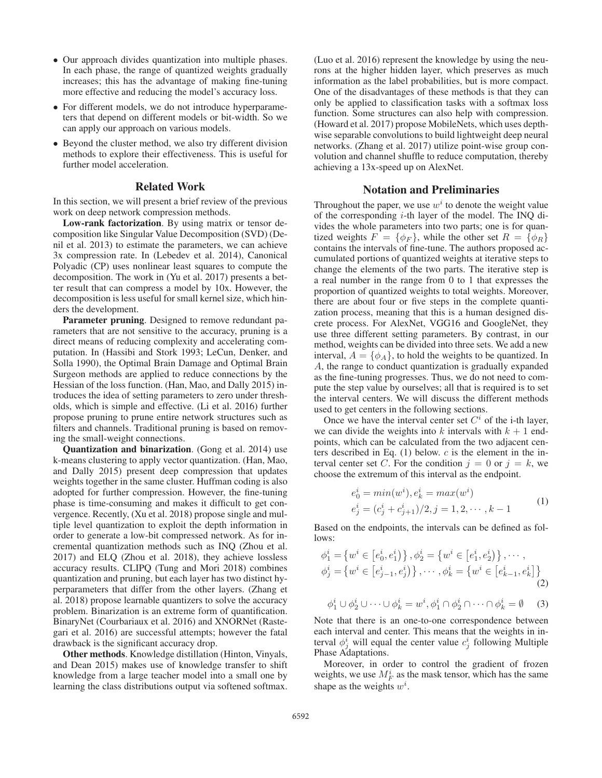- Our approach divides quantization into multiple phases. In each phase, the range of quantized weights gradually increases; this has the advantage of making fine-tuning more effective and reducing the model's accuracy loss.
- For different models, we do not introduce hyperparameters that depend on different models or bit-width. So we can apply our approach on various models.
- Beyond the cluster method, we also try different division methods to explore their effectiveness. This is useful for further model acceleration.

## Related Work

In this section, we will present a brief review of the previous work on deep network compression methods.

Low-rank factorization. By using matrix or tensor decomposition like Singular Value Decomposition (SVD) (Denil et al. 2013) to estimate the parameters, we can achieve 3x compression rate. In (Lebedev et al. 2014), Canonical Polyadic (CP) uses nonlinear least squares to compute the decomposition. The work in (Yu et al. 2017) presents a better result that can compress a model by 10x. However, the decomposition is less useful for small kernel size, which hinders the development.

Parameter pruning. Designed to remove redundant parameters that are not sensitive to the accuracy, pruning is a direct means of reducing complexity and accelerating computation. In (Hassibi and Stork 1993; LeCun, Denker, and Solla 1990), the Optimal Brain Damage and Optimal Brain Surgeon methods are applied to reduce connections by the Hessian of the loss function. (Han, Mao, and Dally 2015) introduces the idea of setting parameters to zero under thresholds, which is simple and effective. (Li et al. 2016) further propose pruning to prune entire network structures such as filters and channels. Traditional pruning is based on removing the small-weight connections.

Quantization and binarization. (Gong et al. 2014) use k-means clustering to apply vector quantization. (Han, Mao, and Dally 2015) present deep compression that updates weights together in the same cluster. Huffman coding is also adopted for further compression. However, the fine-tuning phase is time-consuming and makes it difficult to get convergence. Recently, (Xu et al. 2018) propose single and multiple level quantization to exploit the depth information in order to generate a low-bit compressed network. As for incremental quantization methods such as INQ (Zhou et al. 2017) and ELQ (Zhou et al. 2018), they achieve lossless accuracy results. CLIPQ (Tung and Mori 2018) combines quantization and pruning, but each layer has two distinct hyperparameters that differ from the other layers. (Zhang et al. 2018) propose learnable quantizers to solve the accuracy problem. Binarization is an extreme form of quantification. BinaryNet (Courbariaux et al. 2016) and XNORNet (Rastegari et al. 2016) are successful attempts; however the fatal drawback is the significant accuracy drop.

Other methods. Knowledge distillation (Hinton, Vinyals, and Dean 2015) makes use of knowledge transfer to shift knowledge from a large teacher model into a small one by learning the class distributions output via softened softmax. (Luo et al. 2016) represent the knowledge by using the neurons at the higher hidden layer, which preserves as much information as the label probabilities, but is more compact. One of the disadvantages of these methods is that they can only be applied to classification tasks with a softmax loss function. Some structures can also help with compression. (Howard et al. 2017) propose MobileNets, which uses depthwise separable convolutions to build lightweight deep neural networks. (Zhang et al. 2017) utilize point-wise group convolution and channel shuffle to reduce computation, thereby achieving a 13x-speed up on AlexNet.

#### Notation and Preliminaries

Throughout the paper, we use  $w^i$  to denote the weight value of the corresponding i-th layer of the model. The INQ divides the whole parameters into two parts; one is for quantized weights  $F = \{\phi_F\}$ , while the other set  $R = \{\phi_R\}$ contains the intervals of fine-tune. The authors proposed accumulated portions of quantized weights at iterative steps to change the elements of the two parts. The iterative step is a real number in the range from 0 to 1 that expresses the proportion of quantized weights to total weights. Moreover, there are about four or five steps in the complete quantization process, meaning that this is a human designed discrete process. For AlexNet, VGG16 and GoogleNet, they use three different setting parameters. By contrast, in our method, weights can be divided into three sets. We add a new interval,  $A = {\phi_A}$ , to hold the weights to be quantized. In A, the range to conduct quantization is gradually expanded as the fine-tuning progresses. Thus, we do not need to compute the step value by ourselves; all that is required is to set the interval centers. We will discuss the different methods used to get centers in the following sections.

Once we have the interval center set  $C<sup>i</sup>$  of the i-th layer, we can divide the weights into k intervals with  $k + 1$  endpoints, which can be calculated from the two adjacent centers described in Eq.  $(1)$  below.  $c$  is the element in the interval center set C. For the condition  $j = 0$  or  $j = k$ , we choose the extremum of this interval as the endpoint.

$$
e_0^i = \min(w^i), e_k^i = \max(w^i)
$$
  
\n
$$
e_j^i = (c_j^i + c_{j+1}^i)/2, j = 1, 2, \cdots, k-1
$$
\n(1)

Based on the endpoints, the intervals can be defined as follows:

$$
\phi_1^i = \{ w^i \in [e_0^i, e_1^i) \}, \phi_2^i = \{ w^i \in [e_1^i, e_2^i) \}, \cdots, \n\phi_j^i = \{ w^i \in [e_{j-1}^i, e_j^i) \}, \cdots, \phi_k^i = \{ w^i \in [e_{k-1}^i, e_k^i] \}
$$
\n(2)

$$
\phi_1^i \cup \phi_2^i \cup \dots \cup \phi_k^i = w^i, \phi_1^i \cap \phi_2^i \cap \dots \cap \phi_k^i = \emptyset \quad (3)
$$

Note that there is an one-to-one correspondence between each interval and center. This means that the weights in interval  $\phi_j^i$  will equal the center value  $c_j^i$  following Multiple Phase Adaptations.

Moreover, in order to control the gradient of frozen weights, we use  $M_F^i$  as the mask tensor, which has the same shape as the weights  $w^i$ .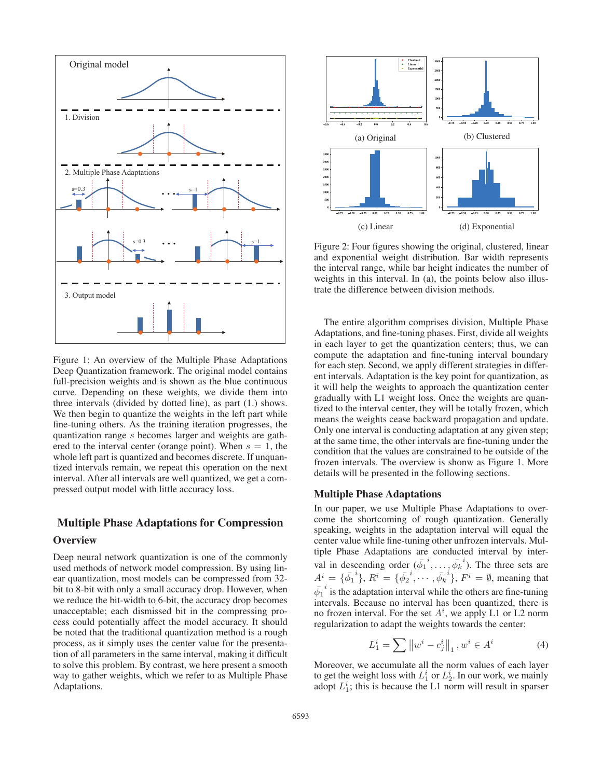

Figure 1: An overview of the Multiple Phase Adaptations Deep Quantization framework. The original model contains full-precision weights and is shown as the blue continuous curve. Depending on these weights, we divide them into three intervals (divided by dotted line), as part (1.) shows. We then begin to quantize the weights in the left part while fine-tuning others. As the training iteration progresses, the quantization range s becomes larger and weights are gathered to the interval center (orange point). When  $s = 1$ , the whole left part is quantized and becomes discrete. If unquantized intervals remain, we repeat this operation on the next interval. After all intervals are well quantized, we get a compressed output model with little accuracy loss.

# Multiple Phase Adaptations for Compression

## **Overview**

Deep neural network quantization is one of the commonly used methods of network model compression. By using linear quantization, most models can be compressed from 32 bit to 8-bit with only a small accuracy drop. However, when we reduce the bit-width to 6-bit, the accuracy drop becomes unacceptable; each dismissed bit in the compressing process could potentially affect the model accuracy. It should be noted that the traditional quantization method is a rough process, as it simply uses the center value for the presentation of all parameters in the same interval, making it difficult to solve this problem. By contrast, we here present a smooth way to gather weights, which we refer to as Multiple Phase Adaptations.



Figure 2: Four figures showing the original, clustered, linear and exponential weight distribution. Bar width represents the interval range, while bar height indicates the number of weights in this interval. In (a), the points below also illustrate the difference between division methods.

The entire algorithm comprises division, Multiple Phase Adaptations, and fine-tuning phases. First, divide all weights in each layer to get the quantization centers; thus, we can compute the adaptation and fine-tuning interval boundary for each step. Second, we apply different strategies in different intervals. Adaptation is the key point for quantization, as it will help the weights to approach the quantization center gradually with L1 weight loss. Once the weights are quantized to the interval center, they will be totally frozen, which means the weights cease backward propagation and update. Only one interval is conducting adaptation at any given step; at the same time, the other intervals are fine-tuning under the condition that the values are constrained to be outside of the frozen intervals. The overview is shonw as Figure 1. More details will be presented in the following sections.

## Multiple Phase Adaptations

In our paper, we use Multiple Phase Adaptations to overcome the shortcoming of rough quantization. Generally speaking, weights in the adaptation interval will equal the center value while fine-tuning other unfrozen intervals. Multiple Phase Adaptations are conducted interval by interval in descending order  $(\bar{\phi_1}^i, \dots, \bar{\phi_k}^i)$ . The three sets are  $A^i = {\bar{\phi_1}^i}$ ,  $R^i = {\bar{\phi_2}^i}$ ,  $\cdots$ ,  ${\bar{\phi_k}^i}$ ,  $F^i = \emptyset$ , meaning that  $\bar{\phi}_1^i$  is the adaptation interval while the others are fine-tuning<br>intervals. Because we interval has been experient there is intervals. Because no interval has been quantized, there is no frozen interval. For the set  $A^i$ , we apply L1 or L2 norm regularization to adapt the weights towards the center:

$$
L_1^i = \sum \|w^i - c_j^i\|_1, w^i \in A^i \tag{4}
$$

Moreover, we accumulate all the norm values of each layer to get the weight loss with  $L_1^i$  or  $L_2^i$ . In our work, we mainly adopt  $L_1^i$ ; this is because the L1 norm will result in sparser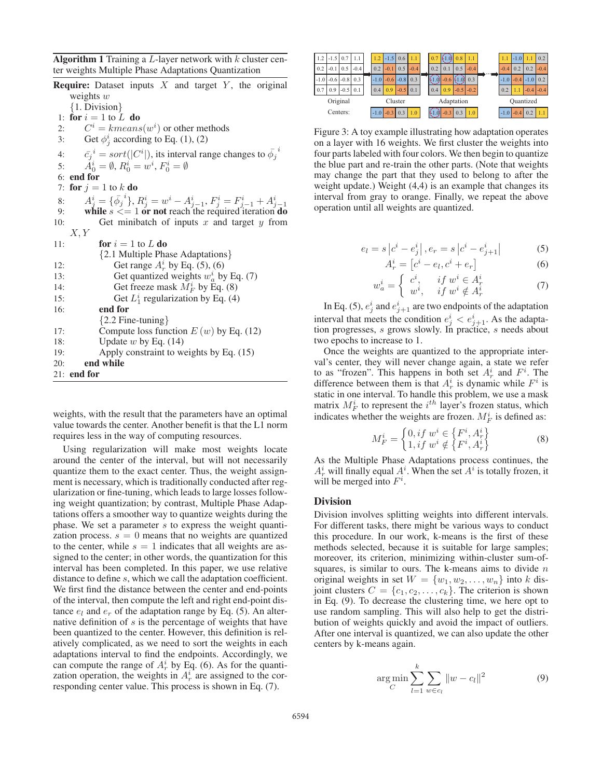Algorithm 1 Training a  $L$ -layer network with  $k$  cluster center weights Multiple Phase Adaptations Quantization

|     | <b>Require:</b> Dataset inputs $X$ and target $Y$ , the original                       |
|-----|----------------------------------------------------------------------------------------|
|     | weights $w$                                                                            |
|     | $\{1. Division\}$                                                                      |
|     | 1: for $i = 1$ to L do                                                                 |
| 2:  | $C^i = kmeans(w^i)$ or other methods                                                   |
| 3:  | Get $\phi^i_j$ according to Eq. (1), (2)                                               |
| 4:  | $\overline{c_j}^i = sort( C^i )$ , its interval range changes to $\overline{\phi_i}^i$ |
| 5:  | $A_0^i = \emptyset$ , $R_0^i = w^i$ , $F_0^i = \emptyset$                              |
|     | $6:$ end for                                                                           |
| 7:  | for $j = 1$ to k do                                                                    |
| 8:  | $A^i_j = \{\bar{\phi_j}^i\}, R^i_j = w^i - A^i_{j-1}, F^i_j = F^i_{j-1} + A^i_{j-1}$   |
| 9:  | while $s \leq 1$ or not reach the required iteration do                                |
| 10: | Get minibatch of inputs $x$ and target $y$ from                                        |
|     | X, Y                                                                                   |
| 11: | <b>for</b> $i = 1$ to L <b>do</b>                                                      |
|     | {2.1 Multiple Phase Adaptations}                                                       |
| 12: | Get range $A_r^i$ by Eq. (5), (6)                                                      |
| 13: | Get quantized weights $w_a^i$ by Eq. (7)                                               |
| 14: | Get freeze mask $M_F^i$ by Eq. (8)                                                     |
| 15: | Get $L_1^i$ regularization by Eq. (4)                                                  |
| 16: | end for                                                                                |
|     | ${2.2$ Fine-tuning $\}$                                                                |
| 17: | Compute loss function $E(w)$ by Eq. (12)                                               |
| 18: | Update $w$ by Eq. (14)                                                                 |
| 19: | Apply constraint to weights by Eq. (15)                                                |
| 20: | end while                                                                              |
|     | $21:$ end for                                                                          |

weights, with the result that the parameters have an optimal value towards the center. Another benefit is that the L1 norm requires less in the way of computing resources.

Using regularization will make most weights locate around the center of the interval, but will not necessarily quantize them to the exact center. Thus, the weight assignment is necessary, which is traditionally conducted after regularization or fine-tuning, which leads to large losses following weight quantization; by contrast, Multiple Phase Adaptations offers a smoother way to quantize weights during the phase. We set a parameter s to express the weight quantization process.  $s = 0$  means that no weights are quantized to the center, while  $s = 1$  indicates that all weights are assigned to the center; in other words, the quantization for this interval has been completed. In this paper, we use relative distance to define s, which we call the adaptation coefficient. We first find the distance between the center and end-points of the interval, then compute the left and right end-point distance  $e_l$  and  $e_r$  of the adaptation range by Eq. (5). An alternative definition of s is the percentage of weights that have been quantized to the center. However, this definition is relatively complicated, as we need to sort the weights in each adaptations interval to find the endpoints. Accordingly, we can compute the range of  $A_r^i$  by Eq. (6). As for the quantization operation, the weights in  $A_r^i$  are assigned to the corresponding center value. This process is shown in Eq. (7).



Figure 3: A toy example illustrating how adaptation operates on a layer with 16 weights. We first cluster the weights into four parts labeled with four colors. We then begin to quantize the blue part and re-train the other parts. (Note that weights may change the part that they used to belong to after the weight update.) Weight (4,4) is an example that changes its interval from gray to orange. Finally, we repeat the above operation until all weights are quantized.

$$
e_l = s \left| c^i - e_j^i \right|, e_r = s \left| c^i - e_{j+1}^i \right| \tag{5}
$$

$$
A_r^i = [c^i - e_l, c^i + e_r]
$$
 (6)

$$
w_a^i = \begin{cases} c^i, & if \ w^i \in A_r^i \\ w^i, & if \ w^i \notin A_r^i \end{cases} \tag{7}
$$

In Eq. (5),  $e_j^i$  and  $e_{j+1}^i$  are two endpoints of the adaptation interval that meets the condition  $e^i_j < e^i_{j+1}$ . As the adaptation progresses, s grows slowly. In practice, s needs about two epochs to increase to 1.

Once the weights are quantized to the appropriate interval's center, they will never change again, a state we refer to as "frozen". This happens in both set  $A_r^i$  and  $F^i$ . The difference between them is that  $A_r^i$  is dynamic while  $F^i$  is static in one interval. To handle this problem, we use a mask matrix  $M_F^i$  to represent the  $i^{th}$  layer's frozen status, which indicates whether the weights are frozen.  $M_F^i$  is defined as:

$$
M_F^i = \begin{cases} 0, if \ w^i \in \left\{ F^i, A_r^i \right\} \\ 1, if \ w^i \notin \left\{ F^i, A_r^i \right\} \end{cases}
$$
 (8)

As the Multiple Phase Adaptations process continues, the  $A_r^i$  will finally equal  $A_i^i$ . When the set  $A_i^i$  is totally frozen, it will be merged into  $F^i$ .

### Division

Division involves splitting weights into different intervals. For different tasks, there might be various ways to conduct this procedure. In our work, k-means is the first of these methods selected, because it is suitable for large samples; moreover, its criterion, minimizing within-cluster sum-ofsquares, is similar to ours. The k-means aims to divide  $n$ original weights in set  $W = \{w_1, w_2, \ldots, w_n\}$  into k disjoint clusters  $C = \{c_1, c_2, \ldots, c_k\}$ . The criterion is shown in Eq. (9). To decrease the clustering time, we here opt to use random sampling. This will also help to get the distribution of weights quickly and avoid the impact of outliers. After one interval is quantized, we can also update the other centers by k-means again.

$$
\arg\min_{C} \sum_{l=1}^{k} \sum_{w \in c_l} ||w - c_l||^2
$$
 (9)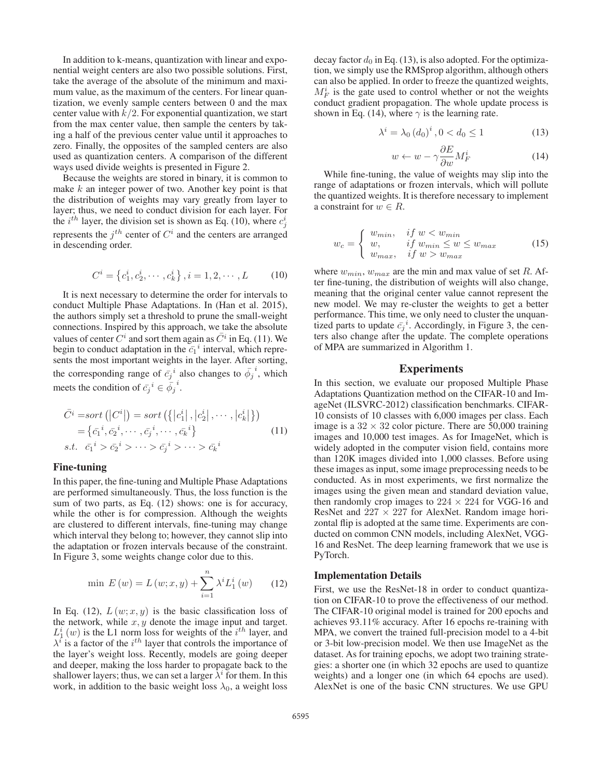In addition to k-means, quantization with linear and exponential weight centers are also two possible solutions. First, take the average of the absolute of the minimum and maximum value, as the maximum of the centers. For linear quantization, we evenly sample centers between 0 and the max center value with  $k/2$ . For exponential quantization, we start from the max center value, then sample the centers by taking a half of the previous center value until it approaches to zero. Finally, the opposites of the sampled centers are also used as quantization centers. A comparison of the different ways used divide weights is presented in Figure 2.

Because the weights are stored in binary, it is common to make  $k$  an integer power of two. Another key point is that the distribution of weights may vary greatly from layer to layer; thus, we need to conduct division for each layer. For the  $i^{th}$  layer, the division set is shown as Eq. (10), where  $c_j^i$ represents the  $j<sup>th</sup>$  center of  $C<sup>i</sup>$  and the centers are arranged in descending order.

$$
C^i = \left\{c_1^i, c_2^i, \cdots, c_k^i\right\}, i = 1, 2, \cdots, L \tag{10}
$$

It is next necessary to determine the order for intervals to conduct Multiple Phase Adaptations. In (Han et al. 2015), the authors simply set a threshold to prune the small-weight connections. Inspired by this approach, we take the absolute values of center  $C^i$  and sort them again as  $\overline{C}^i$  in Eq. (11). We begin to conduct adaptation in the  $\bar{c}_1^i$  interval, which represents the most important weights in the layer. After sorting sents the most important weights in the layer. After sorting, the corresponding range of  $\bar{c}_j^i$  also changes to  $\bar{\phi}_j^i$ , which meets the condition of  $\bar{c_j}^i \in \bar{\phi_j}^i$ .

$$
\bar{C}^i = sort\left(\left|C^i\right|\right) = sort\left(\left\{\left|c_1^i\right|, \left|c_2^i\right|, \cdots, \left|c_k^i\right|\right\}\right)
$$
\n
$$
= \left\{\bar{c}_1^i, \bar{c}_2^i, \cdots, \bar{c}_j^i, \cdots, \bar{c}_k^i\right\} \qquad (11)
$$
\n
$$
s.t. \quad \bar{c}_1^i > \bar{c}_2^i > \cdots > \bar{c}_j^i > \cdots > \bar{c}_k^i
$$

### Fine-tuning

In this paper, the fine-tuning and Multiple Phase Adaptations are performed simultaneously. Thus, the loss function is the sum of two parts, as Eq. (12) shows: one is for accuracy, while the other is for compression. Although the weights are clustered to different intervals, fine-tuning may change which interval they belong to; however, they cannot slip into the adaptation or frozen intervals because of the constraint. In Figure 3, some weights change color due to this.

$$
\min E(w) = L(w; x, y) + \sum_{i=1}^{n} \lambda^{i} L_{1}^{i}(w) \qquad (12)
$$

In Eq. (12),  $L(w; x, y)$  is the basic classification loss of the network, while  $x, y$  denote the image input and target.  $L_1^i(w)$  is the L1 norm loss for weights of the *i*<sup>th</sup> layer, and  $\lambda^i$  is a factor of the *i*<sup>th</sup> layer that controls the importance of  $\lambda^{i}$  is a factor of the  $i^{th}$  layer that controls the importance of the layer's weight loss. Recently, models are going deeper and deeper, making the loss harder to propagate back to the shallower layers; thus, we can set a larger  $\lambda^i$  for them. In this work, in addition to the basic weight loss  $\lambda_0$ , a weight loss decay factor  $d_0$  in Eq. (13), is also adopted. For the optimization, we simply use the RMSprop algorithm, although others can also be applied. In order to freeze the quantized weights,  $M_F^i$  is the gate used to control whether or not the weights conduct gradient propagation. The whole update process is shown in Eq. (14), where  $\gamma$  is the learning rate.

$$
\lambda^{i} = \lambda_0 (d_0)^{i}, 0 < d_0 \le 1 \tag{13}
$$

$$
w \leftarrow w - \gamma \frac{\partial E}{\partial w} M_F^i \tag{14}
$$

While fine-tuning, the value of weights may slip into the range of adaptations or frozen intervals, which will pollute the quantized weights. It is therefore necessary to implement a constraint for  $w \in R$ .

$$
w_c = \begin{cases} w_{min}, & if \ w < w_{min} \\ w, & if \ w_{min} \le w \le w_{max} \\ w_{max}, & if \ w > w_{max} \end{cases}
$$
 (15)

where  $w_{min}$ ,  $w_{max}$  are the min and max value of set R. After fine-tuning, the distribution of weights will also change, meaning that the original center value cannot represent the new model. We may re-cluster the weights to get a better performance. This time, we only need to cluster the unquantized parts to update  $\bar{c}_j^i$ . Accordingly, in Figure 3, the centers also change after the update. The complete operations ters also change after the update. The complete operations of MPA are summarized in Algorithm 1.

#### Experiments

In this section, we evaluate our proposed Multiple Phase Adaptations Quantization method on the CIFAR-10 and ImageNet (ILSVRC-2012) classification benchmarks. CIFAR-10 consists of 10 classes with 6,000 images per class. Each image is a  $32 \times 32$  color picture. There are 50,000 training images and 10,000 test images. As for ImageNet, which is widely adopted in the computer vision field, contains more than 120K images divided into 1,000 classes. Before using these images as input, some image preprocessing needs to be conducted. As in most experiments, we first normalize the images using the given mean and standard deviation value, then randomly crop images to  $224 \times 224$  for VGG-16 and ResNet and  $227 \times 227$  for AlexNet. Random image horizontal flip is adopted at the same time. Experiments are conducted on common CNN models, including AlexNet, VGG-16 and ResNet. The deep learning framework that we use is PyTorch.

## Implementation Details

First, we use the ResNet-18 in order to conduct quantization on CIFAR-10 to prove the effectiveness of our method. The CIFAR-10 original model is trained for 200 epochs and achieves 93.11% accuracy. After 16 epochs re-training with MPA, we convert the trained full-precision model to a 4-bit or 3-bit low-precision model. We then use ImageNet as the dataset. As for training epochs, we adopt two training strategies: a shorter one (in which 32 epochs are used to quantize weights) and a longer one (in which 64 epochs are used). AlexNet is one of the basic CNN structures. We use GPU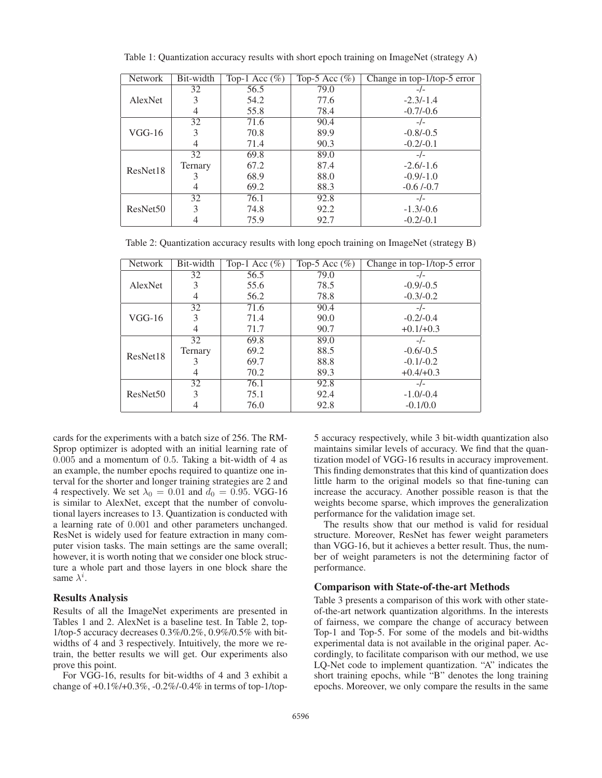| <b>Network</b>       | Bit-width     | Top-1 Acc $(\% )$ | Top-5 Acc $(\%)$ | Change in top-1/top-5 error |
|----------------------|---------------|-------------------|------------------|-----------------------------|
|                      | 32            | 56.5              | 79.0             | $-/-$                       |
| AlexNet              | 3             | 54.2              | 77.6             | $-2.3/-1.4$                 |
|                      | 4             | 55.8              | 78.4             | $-0.7/-0.6$                 |
|                      | 32            | 71.6              | 90.4             | $-/-$                       |
| $VGG-16$             | 3             | 70.8              | 89.9             | $-0.8/-0.5$                 |
|                      | 4             | 71.4              | 90.3             | $-0.2/-0.1$                 |
|                      | 32            | 69.8              | 89.0             | $-/-$                       |
| ResNet18             | Ternary       | 67.2              | 87.4             | $-2.6/-1.6$                 |
|                      |               | 68.9              | 88.0             | $-0.9/-1.0$                 |
|                      | 4             | 69.2              | 88.3             | $-0.6/0.7$                  |
|                      | 32            | 76.1              | 92.8             | $-/-$                       |
| ResNet <sub>50</sub> | $\mathcal{R}$ | 74.8              | 92.2             | $-1.3/-0.6$                 |
|                      |               | 75.9              | 92.7             | $-0.2/-0.1$                 |

Table 1: Quantization accuracy results with short epoch training on ImageNet (strategy A)

Table 2: Quantization accuracy results with long epoch training on ImageNet (strategy B)

| <b>Network</b>       | Bit-width | Top-1 Acc $(\% )$ | Top-5 Acc $(\%)$ | Change in top-1/top-5 error |
|----------------------|-----------|-------------------|------------------|-----------------------------|
|                      | 32        | 56.5              | 79.0             | $-/-$                       |
| AlexNet              |           | 55.6              | 78.5             | $-0.9/-0.5$                 |
|                      | 4         | 56.2              | 78.8             | $-0.3/-0.2$                 |
|                      | 32        | 71.6              | 90.4             | $-/-$                       |
| $VGG-16$             | 3         | 71.4              | 90.0             | $-0.2/-0.4$                 |
|                      | 4         | 71.7              | 90.7             | $+0.1/+0.3$                 |
|                      | 32        | 69.8              | 89.0             | $-/-$                       |
| ResNet18             | Ternary   | 69.2              | 88.5             | $-0.6/-0.5$                 |
|                      |           | 69.7              | 88.8             | $-0.1/-0.2$                 |
|                      | 4         | 70.2              | 89.3             | $+0.4/+0.3$                 |
|                      | 32        | 76.1              | 92.8             | $-/-$                       |
| ResNet <sub>50</sub> | 3         | 75.1              | 92.4             | $-1.0/-0.4$                 |
|                      |           | 76.0              | 92.8             | $-0.1/0.0$                  |

cards for the experiments with a batch size of 256. The RM-Sprop optimizer is adopted with an initial learning rate of 0.005 and a momentum of 0.5. Taking a bit-width of 4 as an example, the number epochs required to quantize one interval for the shorter and longer training strategies are 2 and 4 respectively. We set  $\lambda_0 = 0.01$  and  $d_0 = 0.95$ . VGG-16 is similar to AlexNet, except that the number of convolutional layers increases to 13. Quantization is conducted with a learning rate of 0.001 and other parameters unchanged. ResNet is widely used for feature extraction in many computer vision tasks. The main settings are the same overall; however, it is worth noting that we consider one block structure a whole part and those layers in one block share the same  $\lambda^i$ .

#### Results Analysis

Results of all the ImageNet experiments are presented in Tables 1 and 2. AlexNet is a baseline test. In Table 2, top-1/top-5 accuracy decreases 0.3%/0.2%, 0.9%/0.5% with bitwidths of 4 and 3 respectively. Intuitively, the more we retrain, the better results we will get. Our experiments also prove this point.

For VGG-16, results for bit-widths of 4 and 3 exhibit a change of +0.1%/+0.3%, -0.2%/-0.4% in terms of top-1/top5 accuracy respectively, while 3 bit-width quantization also maintains similar levels of accuracy. We find that the quantization model of VGG-16 results in accuracy improvement. This finding demonstrates that this kind of quantization does little harm to the original models so that fine-tuning can increase the accuracy. Another possible reason is that the weights become sparse, which improves the generalization performance for the validation image set.

The results show that our method is valid for residual structure. Moreover, ResNet has fewer weight parameters than VGG-16, but it achieves a better result. Thus, the number of weight parameters is not the determining factor of performance.

### Comparison with State-of-the-art Methods

Table 3 presents a comparison of this work with other stateof-the-art network quantization algorithms. In the interests of fairness, we compare the change of accuracy between Top-1 and Top-5. For some of the models and bit-widths experimental data is not available in the original paper. Accordingly, to facilitate comparison with our method, we use LQ-Net code to implement quantization. "A" indicates the short training epochs, while "B" denotes the long training epochs. Moreover, we only compare the results in the same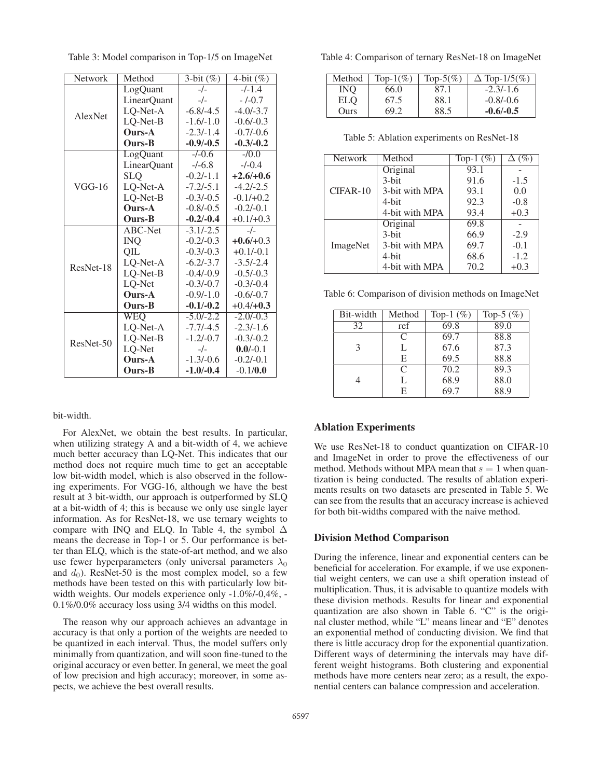| Network   | Method        | $3$ -bit $(\%)$ | $\overline{4-bit}$ (%) |
|-----------|---------------|-----------------|------------------------|
|           | LogQuant      | $-/-$           | $-/-1.4$               |
|           | LinearQuant   | $-/-$           | $-/-0.7$               |
| AlexNet   | LQ-Net-A      | $-6.8/-4.5$     | $-4.0/-3.7$            |
|           | LQ-Net-B      | $-1.6/-1.0$     | $-0.6/-0.3$            |
|           | <b>Ours-A</b> | $-2.3/-1.4$     | $-0.7/-0.6$            |
|           | Ours-B        | $-0.9/-0.5$     | $-0.3/-0.2$            |
|           | LogQuant      | $-/-0.6$        | $-10.0$                |
|           | LinearQuant   | $-/-6.8$        | $-/-0.4$               |
|           | <b>SLQ</b>    | $-0.2/-1.1$     | $+2.6/+0.6$            |
| VGG-16    | LQ-Net-A      | $-7.2/-5.1$     | $-4.2/-2.5$            |
|           | LQ-Net-B      | $-0.3/-0.5$     | $-0.1/+0.2$            |
|           | <b>Ours-A</b> | $-0.8/-0.5$     | $-0.2/-0.1$            |
|           | <b>Ours-B</b> | $-0.2/-0.4$     | $+0.1/+0.3$            |
|           | ABC-Net       | $-3.1/-2.5$     | $-/-$                  |
|           | INQ.          | $-0.2/-0.3$     | $+0.6/+0.3$            |
|           | QIL           | $-0.3/-0.3$     | $+0.1/-0.1$            |
| ResNet-18 | LQ-Net-A      | $-6.2/-3.7$     | $-3.5/-2.4$            |
|           | LQ-Net-B      | $-0.4/-0.9$     | $-0.5/-0.3$            |
|           | LQ-Net        | $-0.3/-0.7$     | $-0.3/-0.4$            |
|           | Ours-A        | $-0.9/-1.0$     | $-0.6/-0.7$            |
|           | Ours-B        | $-0.1/-0.2$     | $+0.4/+0.3$            |
|           | WEQ           | $-5.0/-2.2$     | $-2.0/-0.3$            |
|           | LQ-Net-A      | $-7.7/-4.5$     | $-2.3/-1.6$            |
| ResNet-50 | LQ-Net-B      | $-1.2/-0.7$     | $-0.3/-0.2$            |
|           | LQ-Net        | $-/-$           | $0.0/-0.1$             |
|           | Ours-A        | $-1.3/-0.6$     | $-0.2/-0.1$            |
|           | Ours-B        | $-1.0/-0.4$     | $-0.1/0.0$             |

Table 3: Model comparison in Top-1/5 on ImageNet

## bit-width.

For AlexNet, we obtain the best results. In particular, when utilizing strategy A and a bit-width of 4, we achieve much better accuracy than LQ-Net. This indicates that our method does not require much time to get an acceptable low bit-width model, which is also observed in the following experiments. For VGG-16, although we have the best result at 3 bit-width, our approach is outperformed by SLQ at a bit-width of 4; this is because we only use single layer information. As for ResNet-18, we use ternary weights to compare with INQ and ELQ. In Table 4, the symbol  $\Delta$ means the decrease in Top-1 or 5. Our performance is better than ELQ, which is the state-of-art method, and we also use fewer hyperparameters (only universal parameters  $\lambda_0$ and  $d_0$ ). ResNet-50 is the most complex model, so a few methods have been tested on this with particularly low bitwidth weights. Our models experience only -1.0%/-0,4%, - 0.1%/0.0% accuracy loss using 3/4 widths on this model.

The reason why our approach achieves an advantage in accuracy is that only a portion of the weights are needed to be quantized in each interval. Thus, the model suffers only minimally from quantization, and will soon fine-tuned to the original accuracy or even better. In general, we meet the goal of low precision and high accuracy; moreover, in some aspects, we achieve the best overall results.

Table 4: Comparison of ternary ResNet-18 on ImageNet

| Method | Top- $1\%$ ) | Top-5 $(\%)$ | $\Delta$ Top-1/5(%) |
|--------|--------------|--------------|---------------------|
| INO    | 66.0         | 87.I         | $-2.3/-1.6$         |
| ELO    | 67.5         | 88.1         | $-0.8/-0.6$         |
| Ours   | 69 Z         | 88.5         | $-0.6/-0.5$         |

Table 5: Ablation experiments on ResNet-18

| Network    | Method         | Top-1 $(\%)$ | $\Delta$ (%) |
|------------|----------------|--------------|--------------|
|            | Original       | 93.1         |              |
|            | 3-bit          | 91.6         | $-1.5$       |
| $CIFAR-10$ | 3-bit with MPA | 93.1         | 0.0          |
|            | 4-bit          | 92.3         | $-0.8$       |
|            | 4-bit with MPA | 93.4         | $+0.3$       |
|            | Original       | 69.8         |              |
|            | 3-bit          | 66.9         | $-2.9$       |
| ImageNet   | 3-bit with MPA | 69.7         | $-0.1$       |
|            | 4-bit          | 68.6         | $-1.2$       |
|            | 4-bit with MPA | 70.2         | $+0.3$       |

Table 6: Comparison of division methods on ImageNet

| Bit-width | Method | Top-1 $(\%)$ | Top-5 $(\%)$ |
|-----------|--------|--------------|--------------|
| 32        | ref    | 69.8         | 89.0         |
|           | C      | 69.7         | 88.8         |
| 3         | L      | 67.6         | 87.3         |
|           | E      | 69.5         | 88.8         |
|           | C      | 70.2         | 89.3         |
|           |        | 68.9         | 88.0         |
|           | E      | 69.7         | 88.9         |

#### Ablation Experiments

We use ResNet-18 to conduct quantization on CIFAR-10 and ImageNet in order to prove the effectiveness of our method. Methods without MPA mean that  $s = 1$  when quantization is being conducted. The results of ablation experiments results on two datasets are presented in Table 5. We can see from the results that an accuracy increase is achieved for both bit-widths compared with the naive method.

#### Division Method Comparison

During the inference, linear and exponential centers can be beneficial for acceleration. For example, if we use exponential weight centers, we can use a shift operation instead of multiplication. Thus, it is advisable to quantize models with these division methods. Results for linear and exponential quantization are also shown in Table 6. "C" is the original cluster method, while "L" means linear and "E" denotes an exponential method of conducting division. We find that there is little accuracy drop for the exponential quantization. Different ways of determining the intervals may have different weight histograms. Both clustering and exponential methods have more centers near zero; as a result, the exponential centers can balance compression and acceleration.